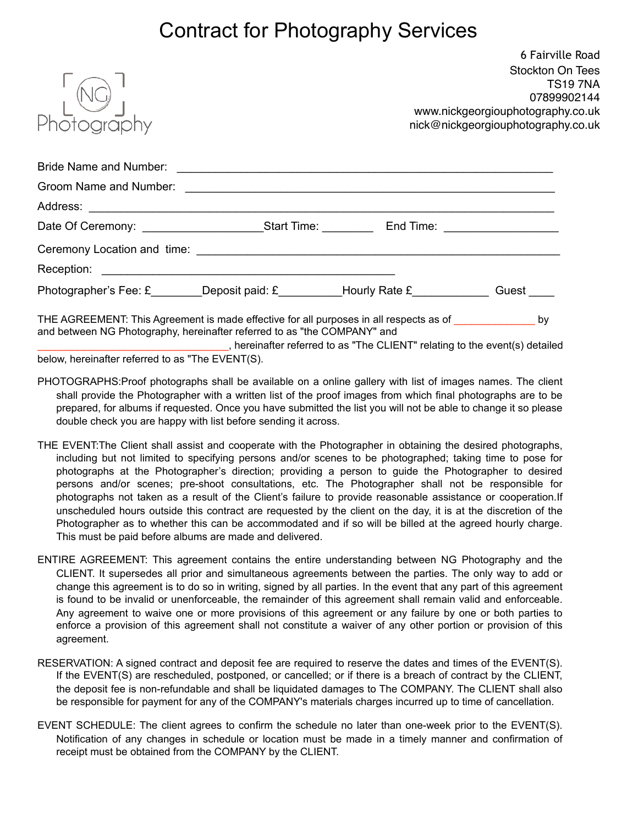## Contract for Photography Services

|                                                                                                                                                                                           | 6 Fairville Road<br><b>Stockton On Tees</b><br><b>TS197NA</b><br>07899902144<br>www.nickgeorgiouphotography.co.uk<br>nick@nickgeorgiouphotography.co.uk |  |  |  |
|-------------------------------------------------------------------------------------------------------------------------------------------------------------------------------------------|---------------------------------------------------------------------------------------------------------------------------------------------------------|--|--|--|
|                                                                                                                                                                                           |                                                                                                                                                         |  |  |  |
|                                                                                                                                                                                           |                                                                                                                                                         |  |  |  |
|                                                                                                                                                                                           |                                                                                                                                                         |  |  |  |
|                                                                                                                                                                                           |                                                                                                                                                         |  |  |  |
|                                                                                                                                                                                           |                                                                                                                                                         |  |  |  |
|                                                                                                                                                                                           |                                                                                                                                                         |  |  |  |
| Photographer's Fee: £_______Deposit paid: £__________Hourly Rate £____________Guest ____                                                                                                  |                                                                                                                                                         |  |  |  |
| THE AGREEMENT: This Agreement is made effective for all purposes in all respects as of ___________________ by<br>and between NG Photography, hereinafter referred to as "the COMPANY" and | bosainettes selessed to ee "The OLIENIT" seleting to the current(e) detailed                                                                            |  |  |  |

, hereinafter referred to as "The CLIENT" relating to the event(s) detailed below, hereinafter referred to as "The EVENT(S).

- PHOTOGRAPHS:Proof photographs shall be available on a online gallery with list of images names. The client shall provide the Photographer with a written list of the proof images from which final photographs are to be prepared, for albums if requested. Once you have submitted the list you will not be able to change it so please double check you are happy with list before sending it across.
- THE EVENT:The Client shall assist and cooperate with the Photographer in obtaining the desired photographs, including but not limited to specifying persons and/or scenes to be photographed; taking time to pose for photographs at the Photographer's direction; providing a person to guide the Photographer to desired persons and/or scenes; pre-shoot consultations, etc. The Photographer shall not be responsible for photographs not taken as a result of the Client's failure to provide reasonable assistance or cooperation.If unscheduled hours outside this contract are requested by the client on the day, it is at the discretion of the Photographer as to whether this can be accommodated and if so will be billed at the agreed hourly charge. This must be paid before albums are made and delivered.
- ENTIRE AGREEMENT: This agreement contains the entire understanding between NG Photography and the CLIENT. It supersedes all prior and simultaneous agreements between the parties. The only way to add or change this agreement is to do so in writing, signed by all parties. In the event that any part of this agreement is found to be invalid or unenforceable, the remainder of this agreement shall remain valid and enforceable. Any agreement to waive one or more provisions of this agreement or any failure by one or both parties to enforce a provision of this agreement shall not constitute a waiver of any other portion or provision of this agreement.
- RESERVATION: A signed contract and deposit fee are required to reserve the dates and times of the EVENT(S). If the EVENT(S) are rescheduled, postponed, or cancelled; or if there is a breach of contract by the CLIENT, the deposit fee is non-refundable and shall be liquidated damages to The COMPANY. The CLIENT shall also be responsible for payment for any of the COMPANY's materials charges incurred up to time of cancellation.
- EVENT SCHEDULE: The client agrees to confirm the schedule no later than one-week prior to the EVENT(S). Notification of any changes in schedule or location must be made in a timely manner and confirmation of receipt must be obtained from the COMPANY by the CLIENT.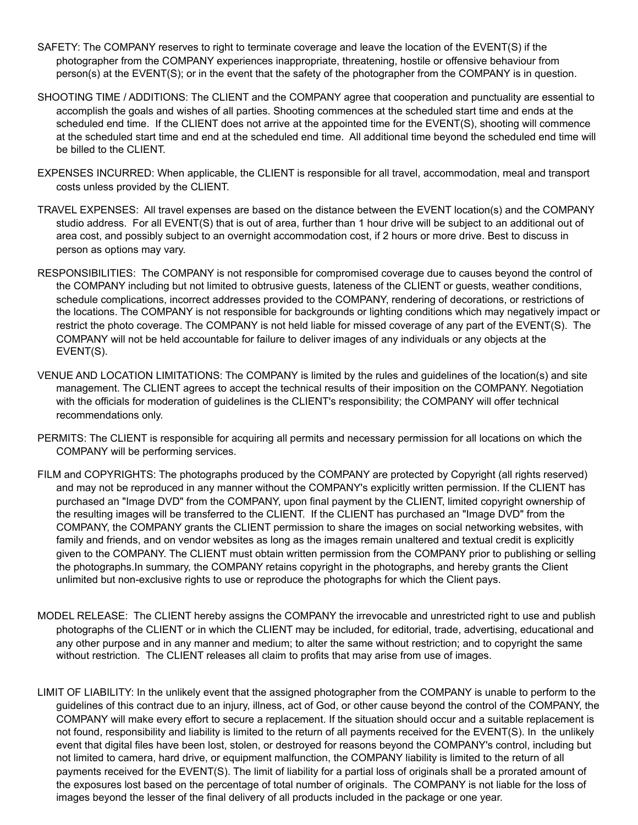- SAFETY: The COMPANY reserves to right to terminate coverage and leave the location of the EVENT(S) if the photographer from the COMPANY experiences inappropriate, threatening, hostile or offensive behaviour from person(s) at the EVENT(S); or in the event that the safety of the photographer from the COMPANY is in question.
- SHOOTING TIME / ADDITIONS: The CLIENT and the COMPANY agree that cooperation and punctuality are essential to accomplish the goals and wishes of all parties. Shooting commences at the scheduled start time and ends at the scheduled end time. If the CLIENT does not arrive at the appointed time for the EVENT(S), shooting will commence at the scheduled start time and end at the scheduled end time. All additional time beyond the scheduled end time will be billed to the CLIENT.
- EXPENSES INCURRED: When applicable, the CLIENT is responsible for all travel, accommodation, meal and transport costs unless provided by the CLIENT.
- TRAVEL EXPENSES: All travel expenses are based on the distance between the EVENT location(s) and the COMPANY studio address. For all EVENT(S) that is out of area, further than 1 hour drive will be subject to an additional out of area cost, and possibly subject to an overnight accommodation cost, if 2 hours or more drive. Best to discuss in person as options may vary.
- RESPONSIBILITIES: The COMPANY is not responsible for compromised coverage due to causes beyond the control of the COMPANY including but not limited to obtrusive guests, lateness of the CLIENT or guests, weather conditions, schedule complications, incorrect addresses provided to the COMPANY, rendering of decorations, or restrictions of the locations. The COMPANY is not responsible for backgrounds or lighting conditions which may negatively impact or restrict the photo coverage. The COMPANY is not held liable for missed coverage of any part of the EVENT(S). The COMPANY will not be held accountable for failure to deliver images of any individuals or any objects at the EVENT(S).
- VENUE AND LOCATION LIMITATIONS: The COMPANY is limited by the rules and guidelines of the location(s) and site management. The CLIENT agrees to accept the technical results of their imposition on the COMPANY. Negotiation with the officials for moderation of guidelines is the CLIENT's responsibility; the COMPANY will offer technical recommendations only.
- PERMITS: The CLIENT is responsible for acquiring all permits and necessary permission for all locations on which the COMPANY will be performing services.
- FILM and COPYRIGHTS: The photographs produced by the COMPANY are protected by Copyright (all rights reserved) and may not be reproduced in any manner without the COMPANY's explicitly written permission. If the CLIENT has purchased an "Image DVD" from the COMPANY, upon final payment by the CLIENT, limited copyright ownership of the resulting images will be transferred to the CLIENT. If the CLIENT has purchased an "Image DVD" from the COMPANY, the COMPANY grants the CLIENT permission to share the images on social networking websites, with family and friends, and on vendor websites as long as the images remain unaltered and textual credit is explicitly given to the COMPANY. The CLIENT must obtain written permission from the COMPANY prior to publishing or selling the photographs.In summary, the COMPANY retains copyright in the photographs, and hereby grants the Client unlimited but non-exclusive rights to use or reproduce the photographs for which the Client pays.
- MODEL RELEASE: The CLIENT hereby assigns the COMPANY the irrevocable and unrestricted right to use and publish photographs of the CLIENT or in which the CLIENT may be included, for editorial, trade, advertising, educational and any other purpose and in any manner and medium; to alter the same without restriction; and to copyright the same without restriction. The CLIENT releases all claim to profits that may arise from use of images.
- LIMIT OF LIABILITY: In the unlikely event that the assigned photographer from the COMPANY is unable to perform to the guidelines of this contract due to an injury, illness, act of God, or other cause beyond the control of the COMPANY, the COMPANY will make every effort to secure a replacement. If the situation should occur and a suitable replacement is not found, responsibility and liability is limited to the return of all payments received for the EVENT(S). In the unlikely event that digital files have been lost, stolen, or destroyed for reasons beyond the COMPANY's control, including but not limited to camera, hard drive, or equipment malfunction, the COMPANY liability is limited to the return of all payments received for the EVENT(S). The limit of liability for a partial loss of originals shall be a prorated amount of the exposures lost based on the percentage of total number of originals. The COMPANY is not liable for the loss of images beyond the lesser of the final delivery of all products included in the package or one year.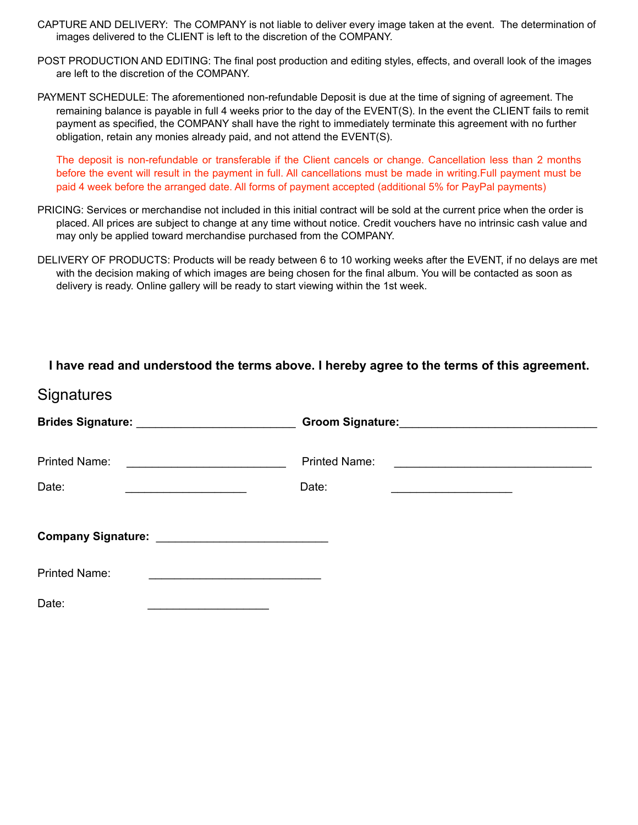- CAPTURE AND DELIVERY: The COMPANY is not liable to deliver every image taken at the event. The determination of images delivered to the CLIENT is left to the discretion of the COMPANY.
- POST PRODUCTION AND EDITING: The final post production and editing styles, effects, and overall look of the images are left to the discretion of the COMPANY.
- PAYMENT SCHEDULE: The aforementioned non-refundable Deposit is due at the time of signing of agreement. The remaining balance is payable in full 4 weeks prior to the day of the EVENT(S). In the event the CLIENT fails to remit payment as specified, the COMPANY shall have the right to immediately terminate this agreement with no further obligation, retain any monies already paid, and not attend the EVENT(S).

The deposit is non-refundable or transferable if the Client cancels or change. Cancellation less than 2 months before the event will result in the payment in full. All cancellations must be made in writing.Full payment must be paid 4 week before the arranged date. All forms of payment accepted (additional 5% for PayPal payments)

- PRICING: Services or merchandise not included in this initial contract will be sold at the current price when the order is placed. All prices are subject to change at any time without notice. Credit vouchers have no intrinsic cash value and may only be applied toward merchandise purchased from the COMPANY.
- DELIVERY OF PRODUCTS: Products will be ready between 6 to 10 working weeks after the EVENT, if no delays are met with the decision making of which images are being chosen for the final album. You will be contacted as soon as delivery is ready. Online gallery will be ready to start viewing within the 1st week.

|                                                  | I have read and understood the terms above. I hereby agree to the terms of this agreement.                                                                                                                                    |                                                 |
|--------------------------------------------------|-------------------------------------------------------------------------------------------------------------------------------------------------------------------------------------------------------------------------------|-------------------------------------------------|
| <b>Signatures</b>                                |                                                                                                                                                                                                                               |                                                 |
| Brides Signature: ______________________________ |                                                                                                                                                                                                                               |                                                 |
| Printed Name: <u>_________________________</u>   |                                                                                                                                                                                                                               |                                                 |
| Date:                                            | Date:<br><u> 1950 - Johann John Stone, mars et al. 1960 - John Stone, mars et al. 1960 - John Stone, mars et al. 1960 - John Stone</u>                                                                                        | <u> 1989 - Johann John Stone, mars et al. (</u> |
|                                                  |                                                                                                                                                                                                                               |                                                 |
| <b>Printed Name:</b>                             | the control of the control of the control of the control of the control of the control of the control of the control of the control of the control of the control of the control of the control of the control of the control |                                                 |
| Date:                                            |                                                                                                                                                                                                                               |                                                 |